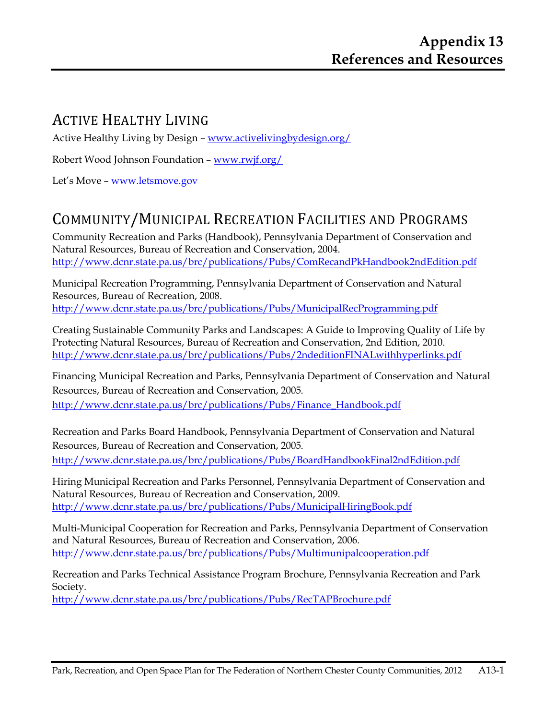#### ACTIVE HEALTHY LIVING

Active Healthy Living by Design – www.activelivingbydesign.org/

Robert Wood Johnson Foundation – www.rwjf.org/

Let's Move – www.letsmove.gov

# COMMUNITY/MUNICIPAL RECREATION FACILITIES AND PROGRAMS

Community Recreation and Parks (Handbook), Pennsylvania Department of Conservation and Natural Resources, Bureau of Recreation and Conservation, 2004. http://www.dcnr.state.pa.us/brc/publications/Pubs/ComRecandPkHandbook2ndEdition.pdf

Municipal Recreation Programming, Pennsylvania Department of Conservation and Natural Resources, Bureau of Recreation, 2008. http://www.dcnr.state.pa.us/brc/publications/Pubs/MunicipalRecProgramming.pdf

Creating Sustainable Community Parks and Landscapes: A Guide to Improving Quality of Life by Protecting Natural Resources, Bureau of Recreation and Conservation, 2nd Edition, 2010. http://www.dcnr.state.pa.us/brc/publications/Pubs/2ndeditionFINALwithhyperlinks.pdf

Financing Municipal Recreation and Parks, Pennsylvania Department of Conservation and Natural Resources, Bureau of Recreation and Conservation, 2005. http://www.dcnr.state.pa.us/brc/publications/Pubs/Finance\_Handbook.pdf

Recreation and Parks Board Handbook, Pennsylvania Department of Conservation and Natural Resources, Bureau of Recreation and Conservation, 2005. http://www.dcnr.state.pa.us/brc/publications/Pubs/BoardHandbookFinal2ndEdition.pdf

Hiring Municipal Recreation and Parks Personnel, Pennsylvania Department of Conservation and Natural Resources, Bureau of Recreation and Conservation, 2009. http://www.dcnr.state.pa.us/brc/publications/Pubs/MunicipalHiringBook.pdf

Multi-Municipal Cooperation for Recreation and Parks, Pennsylvania Department of Conservation and Natural Resources, Bureau of Recreation and Conservation, 2006. http://www.dcnr.state.pa.us/brc/publications/Pubs/Multimunipalcooperation.pdf

Recreation and Parks Technical Assistance Program Brochure, Pennsylvania Recreation and Park Society.

http://www.dcnr.state.pa.us/brc/publications/Pubs/RecTAPBrochure.pdf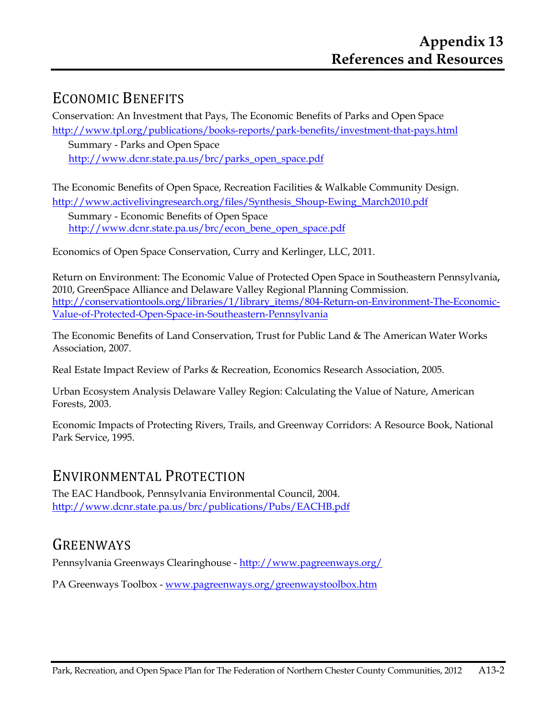#### ECONOMIC BENEFITS

Conservation: An Investment that Pays, The Economic Benefits of Parks and Open Space http://www.tpl.org/publications/books-reports/park-benefits/investment-that-pays.html

Summary - Parks and Open Space http://www.dcnr.state.pa.us/brc/parks\_open\_space.pdf

The Economic Benefits of Open Space, Recreation Facilities & Walkable Community Design. http://www.activelivingresearch.org/files/Synthesis\_Shoup-Ewing\_March2010.pdf

Summary - Economic Benefits of Open Space http://www.dcnr.state.pa.us/brc/econ\_bene\_open\_space.pdf

Economics of Open Space Conservation, Curry and Kerlinger, LLC, 2011.

Return on Environment: The Economic Value of Protected Open Space in Southeastern Pennsylvania**,**  2010, GreenSpace Alliance and Delaware Valley Regional Planning Commission. http://conservationtools.org/libraries/1/library\_items/804-Return-on-Environment-The-Economic-Value-of-Protected-Open-Space-in-Southeastern-Pennsylvania

The Economic Benefits of Land Conservation, Trust for Public Land & The American Water Works Association, 2007.

Real Estate Impact Review of Parks & Recreation, Economics Research Association, 2005.

Urban Ecosystem Analysis Delaware Valley Region: Calculating the Value of Nature, American Forests, 2003.

Economic Impacts of Protecting Rivers, Trails, and Greenway Corridors: A Resource Book, National Park Service, 1995.

#### ENVIRONMENTAL PROTECTION

The EAC Handbook, Pennsylvania Environmental Council, 2004. http://www.dcnr.state.pa.us/brc/publications/Pubs/EACHB.pdf

#### **GREENWAYS**

Pennsylvania Greenways Clearinghouse - http://www.pagreenways.org/

PA Greenways Toolbox - www.pagreenways.org/greenwaystoolbox.htm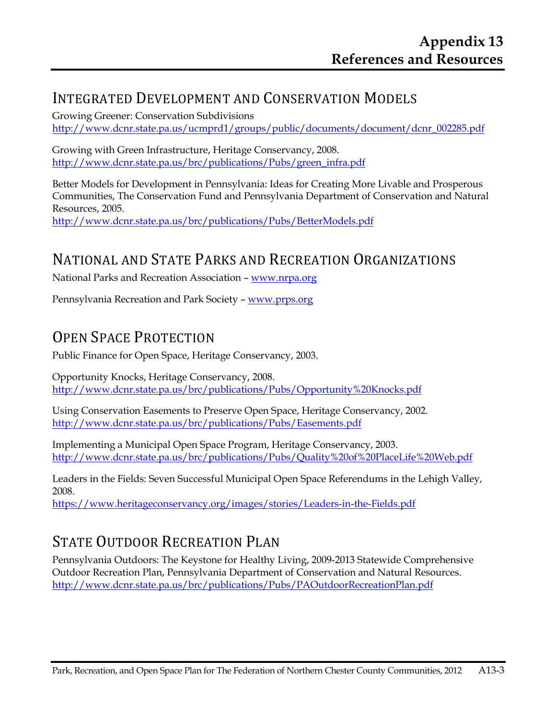## INTEGRATED DEVELOPMENT AND CONSERVATION MODELS

Growing Greener: Conservation Subdivisions http://www.dcnr.state.pa.us/ucmprd1/groups/public/documents/document/dcnr\_002285.pdf

Growing with Green Infrastructure, Heritage Conservancy, 2008. http://www.dcnr.state.pa.us/brc/publications/Pubs/green\_infra.pdf

Better Models for Development in Pennsylvania: Ideas for Creating More Livable and Prosperous Communities, The Conservation Fund and Pennsylvania Department of Conservation and Natural Resources, 2005. http://www.dcnr.state.pa.us/brc/publications/Pubs/BetterModels.pdf

## NATIONAL AND STATE PARKS AND RECREATION ORGANIZATIONS

National Parks and Recreation Association – www.nrpa.org

Pennsylvania Recreation and Park Society – www.prps.org

### OPEN SPACE PROTECTION

Public Finance for Open Space, Heritage Conservancy, 2003.

Opportunity Knocks, Heritage Conservancy, 2008. http://www.dcnr.state.pa.us/brc/publications/Pubs/Opportunity%20Knocks.pdf

Using Conservation Easements to Preserve Open Space, Heritage Conservancy, 2002. http://www.dcnr.state.pa.us/brc/publications/Pubs/Easements.pdf

Implementing a Municipal Open Space Program, Heritage Conservancy, 2003. http://www.dcnr.state.pa.us/brc/publications/Pubs/Quality%20of%20PlaceLife%20Web.pdf

Leaders in the Fields: Seven Successful Municipal Open Space Referendums in the Lehigh Valley, 2008.

https://www.heritageconservancy.org/images/stories/Leaders-in-the-Fields.pdf

## STATE OUTDOOR RECREATION PLAN

Pennsylvania Outdoors: The Keystone for Healthy Living, 2009-2013 Statewide Comprehensive Outdoor Recreation Plan, Pennsylvania Department of Conservation and Natural Resources. http://www.dcnr.state.pa.us/brc/publications/Pubs/PAOutdoorRecreationPlan.pdf